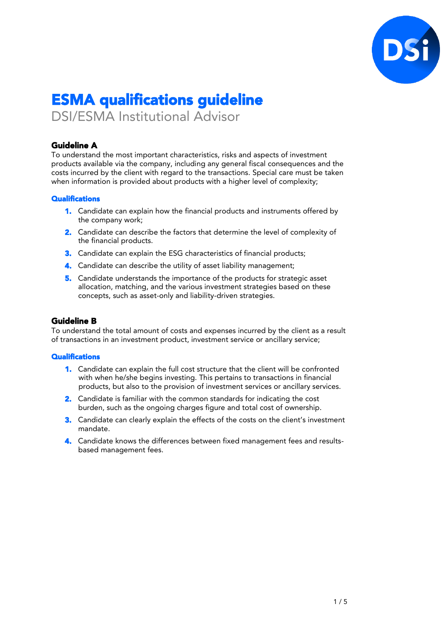

# ESMA qualifications guideline

DSI/ESMA Institutional Advisor

# Guideline A

To understand the most important characteristics, risks and aspects of investment products available via the company, including any general fiscal consequences and the costs incurred by the client with regard to the transactions. Special care must be taken when information is provided about products with a higher level of complexity;

#### **Qualifications**

- 1. Candidate can explain how the financial products and instruments offered by the company work;
- **2.** Candidate can describe the factors that determine the level of complexity of the financial products.
- **3.** Candidate can explain the ESG characteristics of financial products;
- 4. Candidate can describe the utility of asset liability management;
- 5. Candidate understands the importance of the products for strategic asset allocation, matching, and the various investment strategies based on these concepts, such as asset-only and liability-driven strategies.

# Guideline B

To understand the total amount of costs and expenses incurred by the client as a result of transactions in an investment product, investment service or ancillary service;

- 1. Candidate can explain the full cost structure that the client will be confronted with when he/she begins investing. This pertains to transactions in financial products, but also to the provision of investment services or ancillary services.
- 2. Candidate is familiar with the common standards for indicating the cost burden, such as the ongoing charges figure and total cost of ownership.
- 3. Candidate can clearly explain the effects of the costs on the client's investment mandate.
- 4. Candidate knows the differences between fixed management fees and resultsbased management fees.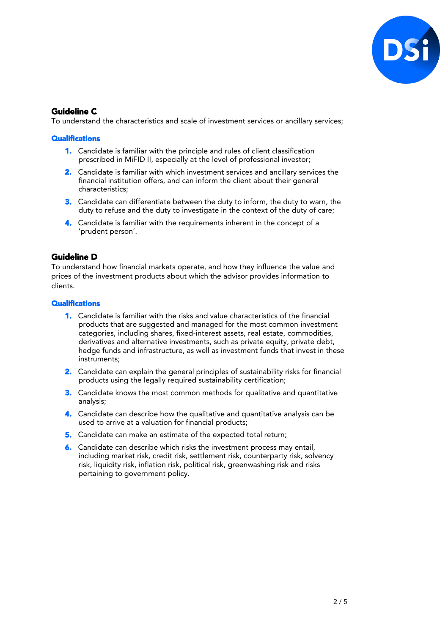

# Guideline C

To understand the characteristics and scale of investment services or ancillary services;

#### **Qualifications**

- 1. Candidate is familiar with the principle and rules of client classification prescribed in MiFID II, especially at the level of professional investor;
- 2. Candidate is familiar with which investment services and ancillary services the financial institution offers, and can inform the client about their general characteristics;
- 3. Candidate can differentiate between the duty to inform, the duty to warn, the duty to refuse and the duty to investigate in the context of the duty of care;
- 4. Candidate is familiar with the requirements inherent in the concept of a 'prudent person'.

# Guideline D

To understand how financial markets operate, and how they influence the value and prices of the investment products about which the advisor provides information to clients.

- 1. Candidate is familiar with the risks and value characteristics of the financial products that are suggested and managed for the most common investment categories, including shares, fixed-interest assets, real estate, commodities, derivatives and alternative investments, such as private equity, private debt, hedge funds and infrastructure, as well as investment funds that invest in these instruments;
- 2. Candidate can explain the general principles of sustainability risks for financial products using the legally required sustainability certification;
- **3.** Candidate knows the most common methods for qualitative and quantitative analysis;
- 4. Candidate can describe how the qualitative and quantitative analysis can be used to arrive at a valuation for financial products;
- 5. Candidate can make an estimate of the expected total return;
- 6. Candidate can describe which risks the investment process may entail, including market risk, credit risk, settlement risk, counterparty risk, solvency risk, liquidity risk, inflation risk, political risk, greenwashing risk and risks pertaining to government policy.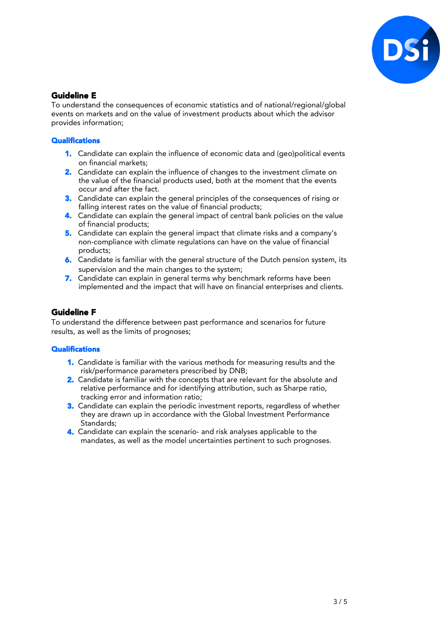

# Guideline E

To understand the consequences of economic statistics and of national/regional/global events on markets and on the value of investment products about which the advisor provides information;

#### **Qualifications**

- 1. Candidate can explain the influence of economic data and (geo)political events on financial markets;
- 2. Candidate can explain the influence of changes to the investment climate on the value of the financial products used, both at the moment that the events occur and after the fact.
- **3.** Candidate can explain the general principles of the consequences of rising or falling interest rates on the value of financial products;
- 4. Candidate can explain the general impact of central bank policies on the value of financial products;
- 5. Candidate can explain the general impact that climate risks and a company's non-compliance with climate regulations can have on the value of financial products;
- 6. Candidate is familiar with the general structure of the Dutch pension system, its supervision and the main changes to the system;
- 7. Candidate can explain in general terms why benchmark reforms have been implemented and the impact that will have on financial enterprises and clients.

# Guideline F

To understand the difference between past performance and scenarios for future results, as well as the limits of prognoses;

- 1. Candidate is familiar with the various methods for measuring results and the risk/performance parameters prescribed by DNB;
- 2. Candidate is familiar with the concepts that are relevant for the absolute and relative performance and for identifying attribution, such as Sharpe ratio, tracking error and information ratio;
- 3. Candidate can explain the periodic investment reports, regardless of whether they are drawn up in accordance with the Global Investment Performance Standards;
- 4. Candidate can explain the scenario- and risk analyses applicable to the mandates, as well as the model uncertainties pertinent to such prognoses.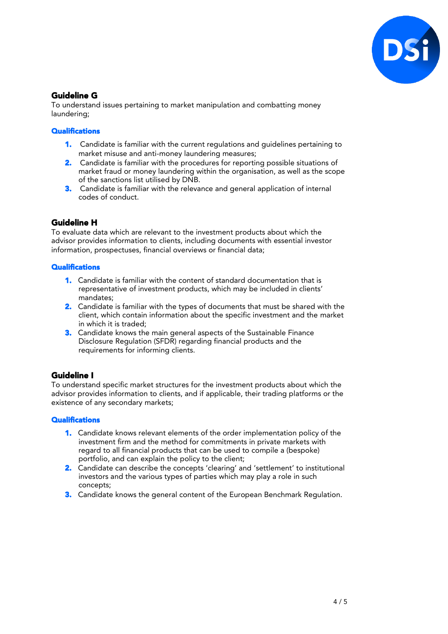

# Guideline G

To understand issues pertaining to market manipulation and combatting money laundering;

#### **Qualifications**

- 1. Candidate is familiar with the current regulations and guidelines pertaining to market misuse and anti-money laundering measures;
- 2. Candidate is familiar with the procedures for reporting possible situations of market fraud or money laundering within the organisation, as well as the scope of the sanctions list utilised by DNB.
- 3. Candidate is familiar with the relevance and general application of internal codes of conduct.

# Guideline H

To evaluate data which are relevant to the investment products about which the advisor provides information to clients, including documents with essential investor information, prospectuses, financial overviews or financial data;

#### **Qualifications**

- 1. Candidate is familiar with the content of standard documentation that is representative of investment products, which may be included in clients' mandates;
- 2. Candidate is familiar with the types of documents that must be shared with the client, which contain information about the specific investment and the market in which it is traded;
- **3.** Candidate knows the main general aspects of the Sustainable Finance Disclosure Regulation (SFDR) regarding financial products and the requirements for informing clients.

# Guideline I

To understand specific market structures for the investment products about which the advisor provides information to clients, and if applicable, their trading platforms or the existence of any secondary markets;

- 1. Candidate knows relevant elements of the order implementation policy of the investment firm and the method for commitments in private markets with regard to all financial products that can be used to compile a (bespoke) portfolio, and can explain the policy to the client;
- 2. Candidate can describe the concepts 'clearing' and 'settlement' to institutional investors and the various types of parties which may play a role in such concepts;
- 3. Candidate knows the general content of the European Benchmark Regulation.